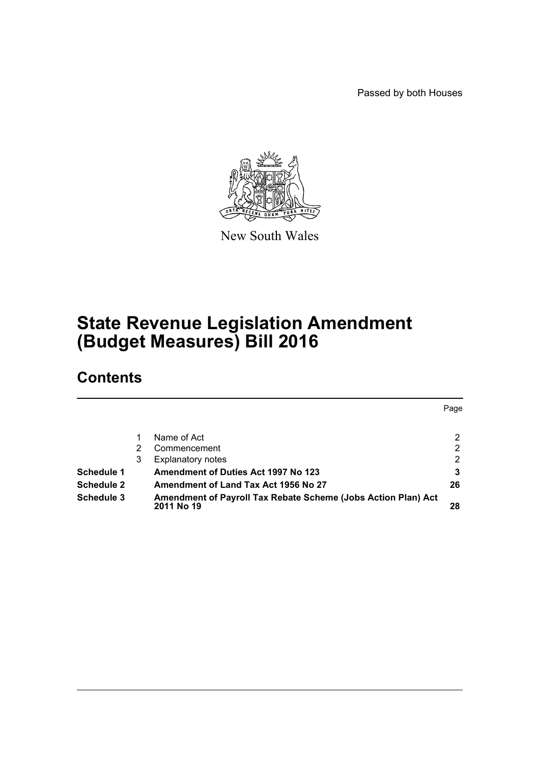Passed by both Houses



New South Wales

# **State Revenue Legislation Amendment (Budget Measures) Bill 2016**

# **Contents**

|                   |   |                                                                             | Page           |
|-------------------|---|-----------------------------------------------------------------------------|----------------|
|                   |   | Name of Act                                                                 | 2              |
|                   |   | Commencement                                                                | $\overline{2}$ |
|                   | 3 | <b>Explanatory notes</b>                                                    | 2              |
| <b>Schedule 1</b> |   | <b>Amendment of Duties Act 1997 No 123</b>                                  | 3              |
| <b>Schedule 2</b> |   | Amendment of Land Tax Act 1956 No 27                                        | 26             |
| <b>Schedule 3</b> |   | Amendment of Payroll Tax Rebate Scheme (Jobs Action Plan) Act<br>2011 No 19 | 28             |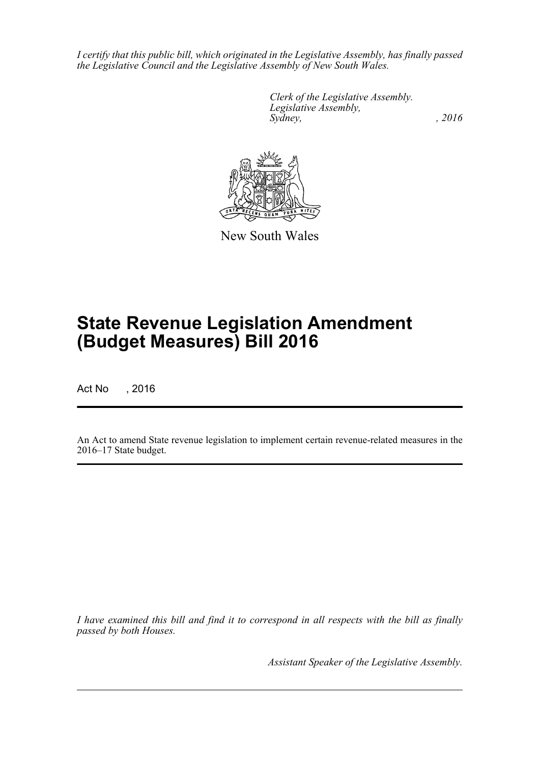*I certify that this public bill, which originated in the Legislative Assembly, has finally passed the Legislative Council and the Legislative Assembly of New South Wales.*

> *Clerk of the Legislative Assembly. Legislative Assembly, Sydney,* , 2016



New South Wales

# **State Revenue Legislation Amendment (Budget Measures) Bill 2016**

Act No , 2016

An Act to amend State revenue legislation to implement certain revenue-related measures in the 2016–17 State budget.

*I have examined this bill and find it to correspond in all respects with the bill as finally passed by both Houses.*

*Assistant Speaker of the Legislative Assembly.*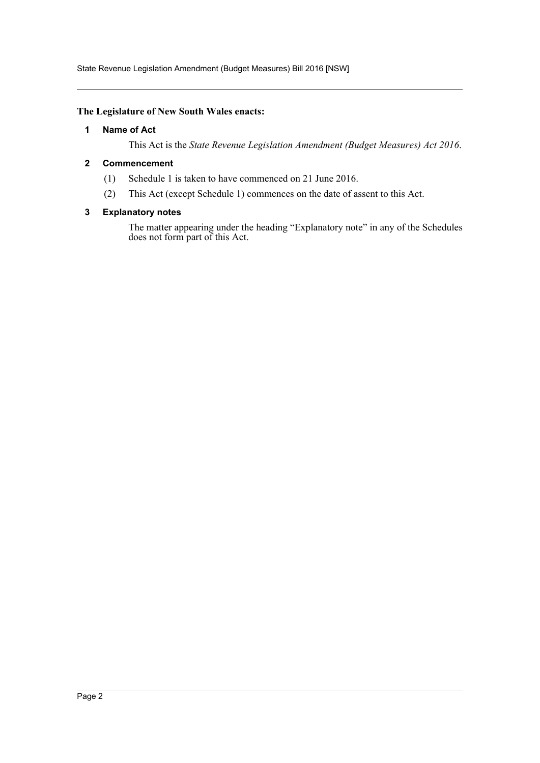State Revenue Legislation Amendment (Budget Measures) Bill 2016 [NSW]

#### <span id="page-2-0"></span>**The Legislature of New South Wales enacts:**

#### **1 Name of Act**

This Act is the *State Revenue Legislation Amendment (Budget Measures) Act 2016*.

#### <span id="page-2-1"></span>**2 Commencement**

- (1) Schedule 1 is taken to have commenced on 21 June 2016.
- (2) This Act (except Schedule 1) commences on the date of assent to this Act.

#### <span id="page-2-2"></span>**3 Explanatory notes**

The matter appearing under the heading "Explanatory note" in any of the Schedules does not form part of this Act.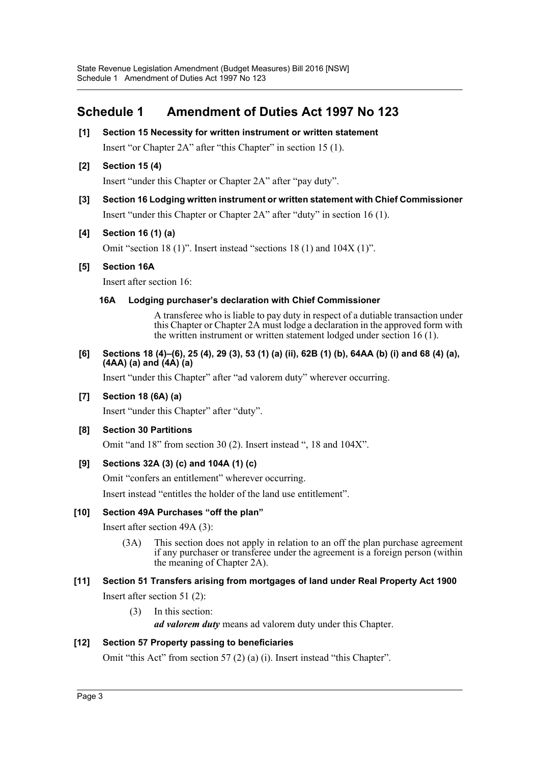# <span id="page-3-0"></span>**Schedule 1 Amendment of Duties Act 1997 No 123**

**[1] Section 15 Necessity for written instrument or written statement** Insert "or Chapter 2A" after "this Chapter" in section 15 (1).

### **[2] Section 15 (4)**

Insert "under this Chapter or Chapter 2A" after "pay duty".

**[3] Section 16 Lodging written instrument or written statement with Chief Commissioner** Insert "under this Chapter or Chapter 2A" after "duty" in section 16 (1).

### **[4] Section 16 (1) (a)**

Omit "section 18 (1)". Insert instead "sections 18 (1) and 104X (1)".

### **[5] Section 16A**

Insert after section 16:

### **16A Lodging purchaser's declaration with Chief Commissioner**

A transferee who is liable to pay duty in respect of a dutiable transaction under this Chapter or Chapter 2A must lodge a declaration in the approved form with the written instrument or written statement lodged under section 16 (1).

#### **[6] Sections 18 (4)–(6), 25 (4), 29 (3), 53 (1) (a) (ii), 62B (1) (b), 64AA (b) (i) and 68 (4) (a), (4AA) (a) and (4A) (a)**

Insert "under this Chapter" after "ad valorem duty" wherever occurring.

### **[7] Section 18 (6A) (a)**

Insert "under this Chapter" after "duty".

### **[8] Section 30 Partitions**

Omit "and 18" from section 30 (2). Insert instead ", 18 and 104X".

### **[9] Sections 32A (3) (c) and 104A (1) (c)**

Omit "confers an entitlement" wherever occurring.

Insert instead "entitles the holder of the land use entitlement".

### **[10] Section 49A Purchases "off the plan"**

Insert after section 49A (3):

(3A) This section does not apply in relation to an off the plan purchase agreement if any purchaser or transferee under the agreement is a foreign person (within the meaning of Chapter 2A).

### **[11] Section 51 Transfers arising from mortgages of land under Real Property Act 1900**

Insert after section 51 (2):

(3) In this section:

*ad valorem duty* means ad valorem duty under this Chapter.

### **[12] Section 57 Property passing to beneficiaries**

Omit "this Act" from section 57 (2) (a) (i). Insert instead "this Chapter".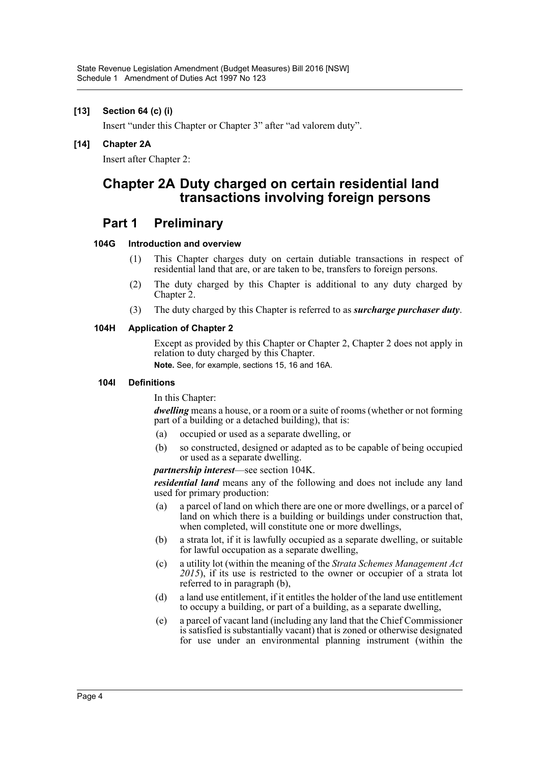#### **[13] Section 64 (c) (i)**

Insert "under this Chapter or Chapter 3" after "ad valorem duty".

#### **[14] Chapter 2A**

Insert after Chapter 2:

## **Chapter 2A Duty charged on certain residential land transactions involving foreign persons**

### **Part 1 Preliminary**

#### **104G Introduction and overview**

- (1) This Chapter charges duty on certain dutiable transactions in respect of residential land that are, or are taken to be, transfers to foreign persons.
- (2) The duty charged by this Chapter is additional to any duty charged by Chapter 2.
- (3) The duty charged by this Chapter is referred to as *surcharge purchaser duty*.

#### **104H Application of Chapter 2**

Except as provided by this Chapter or Chapter 2, Chapter 2 does not apply in relation to duty charged by this Chapter.

**Note.** See, for example, sections 15, 16 and 16A.

#### **104I Definitions**

In this Chapter:

*dwelling* means a house, or a room or a suite of rooms (whether or not forming part of a building or a detached building), that is:

- (a) occupied or used as a separate dwelling, or
- (b) so constructed, designed or adapted as to be capable of being occupied or used as a separate dwelling.

#### *partnership interest*—see section 104K.

*residential land* means any of the following and does not include any land used for primary production:

- (a) a parcel of land on which there are one or more dwellings, or a parcel of land on which there is a building or buildings under construction that, when completed, will constitute one or more dwellings,
- (b) a strata lot, if it is lawfully occupied as a separate dwelling, or suitable for lawful occupation as a separate dwelling,
- (c) a utility lot (within the meaning of the *Strata Schemes Management Act 2015*), if its use is restricted to the owner or occupier of a strata lot referred to in paragraph (b),
- (d) a land use entitlement, if it entitles the holder of the land use entitlement to occupy a building, or part of a building, as a separate dwelling,
- (e) a parcel of vacant land (including any land that the Chief Commissioner is satisfied is substantially vacant) that is zoned or otherwise designated for use under an environmental planning instrument (within the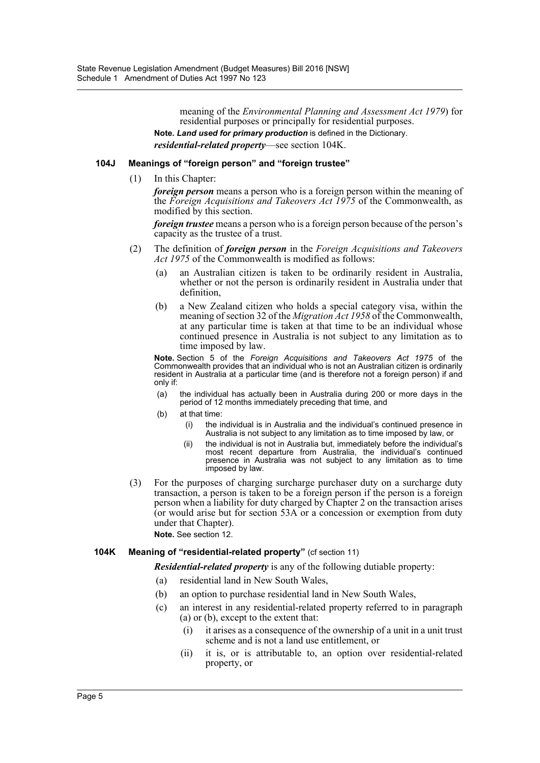meaning of the *Environmental Planning and Assessment Act 1979*) for residential purposes or principally for residential purposes. **Note.** *Land used for primary production* is defined in the Dictionary.

*residential-related property*—see section 104K.

#### **104J Meanings of "foreign person" and "foreign trustee"**

(1) In this Chapter:

*foreign person* means a person who is a foreign person within the meaning of the *Foreign Acquisitions and Takeovers Act 1975* of the Commonwealth, as modified by this section.

*foreign trustee* means a person who is a foreign person because of the person's capacity as the trustee of a trust.

- (2) The definition of *foreign person* in the *Foreign Acquisitions and Takeovers Act 1975* of the Commonwealth is modified as follows:
	- (a) an Australian citizen is taken to be ordinarily resident in Australia, whether or not the person is ordinarily resident in Australia under that definition,
	- (b) a New Zealand citizen who holds a special category visa, within the meaning of section 32 of the *Migration Act 1958* of the Commonwealth, at any particular time is taken at that time to be an individual whose continued presence in Australia is not subject to any limitation as to time imposed by law.

**Note.** Section 5 of the *Foreign Acquisitions and Takeovers Act 1975* of the Commonwealth provides that an individual who is not an Australian citizen is ordinarily resident in Australia at a particular time (and is therefore not a foreign person) if and only if:

- (a) the individual has actually been in Australia during 200 or more days in the period of 12 months immediately preceding that time, and
- (b) at that time:
	- (i) the individual is in Australia and the individual's continued presence in Australia is not subject to any limitation as to time imposed by law, or
	- (ii) the individual is not in Australia but, immediately before the individual's most recent departure from Australia, the individual's continued presence in Australia was not subject to any limitation as to time imposed by law.
- (3) For the purposes of charging surcharge purchaser duty on a surcharge duty transaction, a person is taken to be a foreign person if the person is a foreign person when a liability for duty charged by Chapter 2 on the transaction arises (or would arise but for section 53A or a concession or exemption from duty under that Chapter).

**Note.** See section 12.

#### **104K Meaning of "residential-related property"** (cf section 11)

*Residential-related property* is any of the following dutiable property:

- (a) residential land in New South Wales,
- (b) an option to purchase residential land in New South Wales,
- (c) an interest in any residential-related property referred to in paragraph (a) or (b), except to the extent that:
	- (i) it arises as a consequence of the ownership of a unit in a unit trust scheme and is not a land use entitlement, or
	- (ii) it is, or is attributable to, an option over residential-related property, or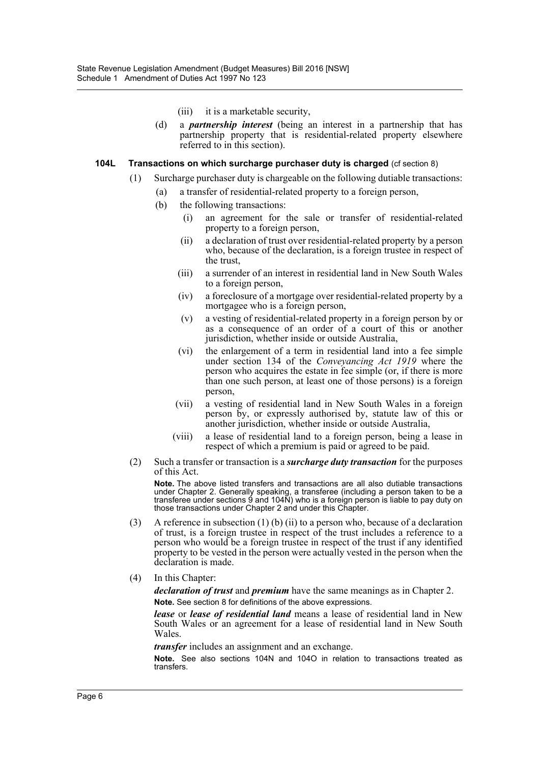- (iii) it is a marketable security,
- (d) a *partnership interest* (being an interest in a partnership that has partnership property that is residential-related property elsewhere referred to in this section).

#### **104L Transactions on which surcharge purchaser duty is charged** (cf section 8)

- (1) Surcharge purchaser duty is chargeable on the following dutiable transactions:
	- (a) a transfer of residential-related property to a foreign person,
	- (b) the following transactions:
		- (i) an agreement for the sale or transfer of residential-related property to a foreign person,
		- (ii) a declaration of trust over residential-related property by a person who, because of the declaration, is a foreign trustee in respect of the trust,
		- (iii) a surrender of an interest in residential land in New South Wales to a foreign person,
		- (iv) a foreclosure of a mortgage over residential-related property by a mortgagee who is a foreign person,
		- (v) a vesting of residential-related property in a foreign person by or as a consequence of an order of a court of this or another jurisdiction, whether inside or outside Australia,
		- (vi) the enlargement of a term in residential land into a fee simple under section 134 of the *Conveyancing Act 1919* where the person who acquires the estate in fee simple (or, if there is more than one such person, at least one of those persons) is a foreign person,
		- (vii) a vesting of residential land in New South Wales in a foreign person by, or expressly authorised by, statute law of this or another jurisdiction, whether inside or outside Australia,
		- (viii) a lease of residential land to a foreign person, being a lease in respect of which a premium is paid or agreed to be paid.
- (2) Such a transfer or transaction is a *surcharge duty transaction* for the purposes of this Act.

**Note.** The above listed transfers and transactions are all also dutiable transactions under Chapter 2. Generally speaking, a transferee (including a person taken to be a transferee under sections 9 and 104N) who is a foreign person is liable to pay duty on those transactions under Chapter 2 and under this Chapter.

- (3) A reference in subsection (1) (b) (ii) to a person who, because of a declaration of trust, is a foreign trustee in respect of the trust includes a reference to a person who would be a foreign trustee in respect of the trust if any identified property to be vested in the person were actually vested in the person when the declaration is made.
- (4) In this Chapter:

*declaration of trust* and *premium* have the same meanings as in Chapter 2. **Note.** See section 8 for definitions of the above expressions.

*lease* or *lease of residential land* means a lease of residential land in New South Wales or an agreement for a lease of residential land in New South Wales.

*transfer* includes an assignment and an exchange.

**Note.** See also sections 104N and 104O in relation to transactions treated as transfers.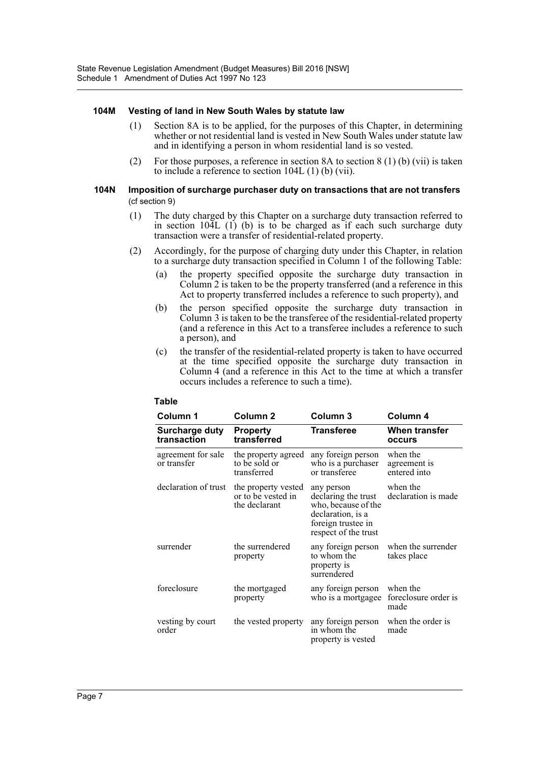#### **104M Vesting of land in New South Wales by statute law**

- (1) Section 8A is to be applied, for the purposes of this Chapter, in determining whether or not residential land is vested in New South Wales under statute law and in identifying a person in whom residential land is so vested.
- (2) For those purposes, a reference in section 8A to section 8 (1) (b) (vii) is taken to include a reference to section 104L (1) (b) (vii).

#### **104N Imposition of surcharge purchaser duty on transactions that are not transfers**  (cf section 9)

- (1) The duty charged by this Chapter on a surcharge duty transaction referred to in section  $10\overline{4}L(1)$  (b) is to be charged as if each such surcharge duty transaction were a transfer of residential-related property.
- (2) Accordingly, for the purpose of charging duty under this Chapter, in relation to a surcharge duty transaction specified in Column 1 of the following Table:
	- (a) the property specified opposite the surcharge duty transaction in Column 2 is taken to be the property transferred (and a reference in this Act to property transferred includes a reference to such property), and
	- (b) the person specified opposite the surcharge duty transaction in Column 3 is taken to be the transferee of the residential-related property (and a reference in this Act to a transferee includes a reference to such a person), and
	- (c) the transfer of the residential-related property is taken to have occurred at the time specified opposite the surcharge duty transaction in Column 4 (and a reference in this Act to the time at which a transfer occurs includes a reference to such a time).

| Column 1                          | Column <sub>2</sub>                                        | Column 3                                                                                                                    | Column 4                                 |
|-----------------------------------|------------------------------------------------------------|-----------------------------------------------------------------------------------------------------------------------------|------------------------------------------|
| Surcharge duty<br>transaction     | <b>Property</b><br>transferred                             | <b>Transferee</b>                                                                                                           | When transfer<br>occurs                  |
| agreement for sale<br>or transfer | the property agreed<br>to be sold or<br>transferred        | any foreign person<br>who is a purchaser<br>or transferee                                                                   | when the<br>agreement is<br>entered into |
| declaration of trust              | the property vested<br>or to be vested in<br>the declarant | any person<br>declaring the trust<br>who, because of the<br>declaration, is a<br>foreign trustee in<br>respect of the trust | when the<br>declaration is made          |
| surrender                         | the surrendered<br>property                                | any foreign person<br>to whom the<br>property is<br>surrendered                                                             | when the surrender<br>takes place        |
| foreclosure                       | the mortgaged<br>property                                  | any foreign person<br>who is a mortgagee                                                                                    | when the<br>foreclosure order is<br>made |
| vesting by court<br>order         | the vested property                                        | any foreign person<br>in whom the<br>property is vested                                                                     | when the order is<br>made                |

#### **Table**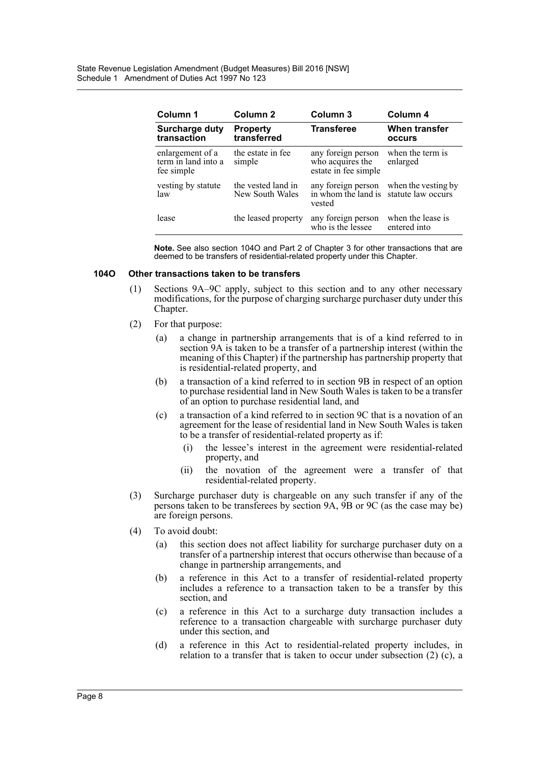| Column 1                                              | Column 2                              | Column 3                                                       | Column 4                                  |
|-------------------------------------------------------|---------------------------------------|----------------------------------------------------------------|-------------------------------------------|
| <b>Surcharge duty</b><br>transaction                  | <b>Property</b><br>transferred        | <b>Transferee</b>                                              | When transfer<br>occurs                   |
| enlargement of a<br>term in land into a<br>fee simple | the estate in fee<br>simple           | any foreign person<br>who acquires the<br>estate in fee simple | when the term is<br>enlarged              |
| vesting by statute<br>law                             | the vested land in<br>New South Wales | any foreign person<br>in whom the land is<br>vested            | when the vesting by<br>statute law occurs |
| lease                                                 | the leased property                   | any foreign person<br>who is the lessee                        | when the lease is<br>entered into         |

**Note.** See also section 104O and Part 2 of Chapter 3 for other transactions that are deemed to be transfers of residential-related property under this Chapter.

#### **104O Other transactions taken to be transfers**

- (1) Sections 9A–9C apply, subject to this section and to any other necessary modifications, for the purpose of charging surcharge purchaser duty under this Chapter.
- (2) For that purpose:
	- (a) a change in partnership arrangements that is of a kind referred to in section 9A is taken to be a transfer of a partnership interest (within the meaning of this Chapter) if the partnership has partnership property that is residential-related property, and
	- (b) a transaction of a kind referred to in section 9B in respect of an option to purchase residential land in New South Wales is taken to be a transfer of an option to purchase residential land, and
	- (c) a transaction of a kind referred to in section 9C that is a novation of an agreement for the lease of residential land in New South Wales is taken to be a transfer of residential-related property as if:
		- (i) the lessee's interest in the agreement were residential-related property, and
		- (ii) the novation of the agreement were a transfer of that residential-related property.
- (3) Surcharge purchaser duty is chargeable on any such transfer if any of the persons taken to be transferees by section 9A, 9B or 9C (as the case may be) are foreign persons.
- (4) To avoid doubt:
	- (a) this section does not affect liability for surcharge purchaser duty on a transfer of a partnership interest that occurs otherwise than because of a change in partnership arrangements, and
	- (b) a reference in this Act to a transfer of residential-related property includes a reference to a transaction taken to be a transfer by this section, and
	- (c) a reference in this Act to a surcharge duty transaction includes a reference to a transaction chargeable with surcharge purchaser duty under this section, and
	- (d) a reference in this Act to residential-related property includes, in relation to a transfer that is taken to occur under subsection (2) (c), a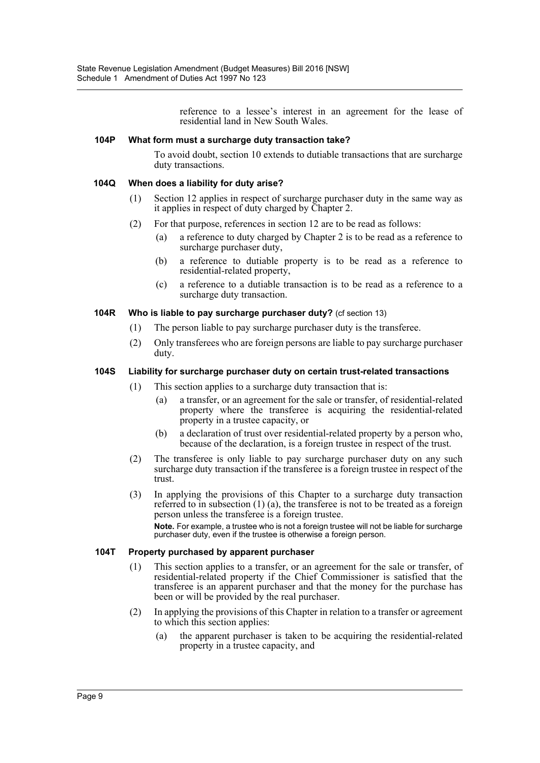reference to a lessee's interest in an agreement for the lease of residential land in New South Wales.

#### **104P What form must a surcharge duty transaction take?**

To avoid doubt, section 10 extends to dutiable transactions that are surcharge duty transactions.

#### **104Q When does a liability for duty arise?**

- (1) Section 12 applies in respect of surcharge purchaser duty in the same way as it applies in respect of duty charged by Chapter 2.
- (2) For that purpose, references in section 12 are to be read as follows:
	- (a) a reference to duty charged by Chapter 2 is to be read as a reference to surcharge purchaser duty,
	- (b) a reference to dutiable property is to be read as a reference to residential-related property,
	- (c) a reference to a dutiable transaction is to be read as a reference to a surcharge duty transaction.

#### **104R Who is liable to pay surcharge purchaser duty?** (cf section 13)

- (1) The person liable to pay surcharge purchaser duty is the transferee.
- (2) Only transferees who are foreign persons are liable to pay surcharge purchaser duty.

#### **104S Liability for surcharge purchaser duty on certain trust-related transactions**

- (1) This section applies to a surcharge duty transaction that is:
	- (a) a transfer, or an agreement for the sale or transfer, of residential-related property where the transferee is acquiring the residential-related property in a trustee capacity, or
	- (b) a declaration of trust over residential-related property by a person who, because of the declaration, is a foreign trustee in respect of the trust.
- (2) The transferee is only liable to pay surcharge purchaser duty on any such surcharge duty transaction if the transferee is a foreign trustee in respect of the trust.
- (3) In applying the provisions of this Chapter to a surcharge duty transaction referred to in subsection  $(1)$   $(a)$ , the transferee is not to be treated as a foreign person unless the transferee is a foreign trustee. **Note.** For example, a trustee who is not a foreign trustee will not be liable for surcharge purchaser duty, even if the trustee is otherwise a foreign person.

#### **104T Property purchased by apparent purchaser**

- (1) This section applies to a transfer, or an agreement for the sale or transfer, of residential-related property if the Chief Commissioner is satisfied that the transferee is an apparent purchaser and that the money for the purchase has been or will be provided by the real purchaser.
- (2) In applying the provisions of this Chapter in relation to a transfer or agreement to which this section applies:
	- (a) the apparent purchaser is taken to be acquiring the residential-related property in a trustee capacity, and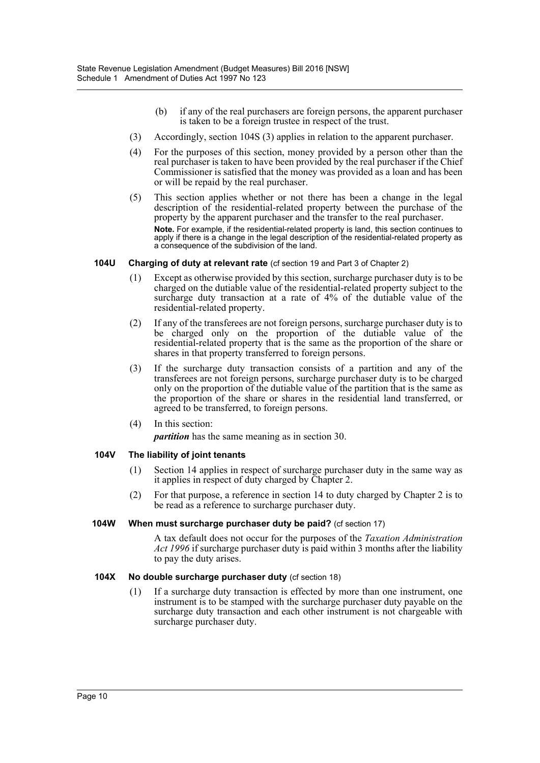- (b) if any of the real purchasers are foreign persons, the apparent purchaser is taken to be a foreign trustee in respect of the trust.
- (3) Accordingly, section 104S (3) applies in relation to the apparent purchaser.
- (4) For the purposes of this section, money provided by a person other than the real purchaser is taken to have been provided by the real purchaser if the Chief Commissioner is satisfied that the money was provided as a loan and has been or will be repaid by the real purchaser.
- (5) This section applies whether or not there has been a change in the legal description of the residential-related property between the purchase of the property by the apparent purchaser and the transfer to the real purchaser. **Note.** For example, if the residential-related property is land, this section continues to apply if there is a change in the legal description of the residential-related property as a consequence of the subdivision of the land.

#### **104U Charging of duty at relevant rate** (cf section 19 and Part 3 of Chapter 2)

- (1) Except as otherwise provided by this section, surcharge purchaser duty is to be charged on the dutiable value of the residential-related property subject to the surcharge duty transaction at a rate of 4% of the dutiable value of the residential-related property.
- (2) If any of the transferees are not foreign persons, surcharge purchaser duty is to be charged only on the proportion of the dutiable value of the residential-related property that is the same as the proportion of the share or shares in that property transferred to foreign persons.
- (3) If the surcharge duty transaction consists of a partition and any of the transferees are not foreign persons, surcharge purchaser duty is to be charged only on the proportion of the dutiable value of the partition that is the same as the proportion of the share or shares in the residential land transferred, or agreed to be transferred, to foreign persons.
- (4) In this section:

*partition* has the same meaning as in section 30.

#### **104V The liability of joint tenants**

- (1) Section 14 applies in respect of surcharge purchaser duty in the same way as it applies in respect of duty charged by Chapter 2.
- (2) For that purpose, a reference in section 14 to duty charged by Chapter 2 is to be read as a reference to surcharge purchaser duty.

#### **104W When must surcharge purchaser duty be paid?** (cf section 17)

A tax default does not occur for the purposes of the *Taxation Administration Act 1996* if surcharge purchaser duty is paid within 3 months after the liability to pay the duty arises.

#### **104X** No double surcharge purchaser duty (cf section 18)

(1) If a surcharge duty transaction is effected by more than one instrument, one instrument is to be stamped with the surcharge purchaser duty payable on the surcharge duty transaction and each other instrument is not chargeable with surcharge purchaser duty.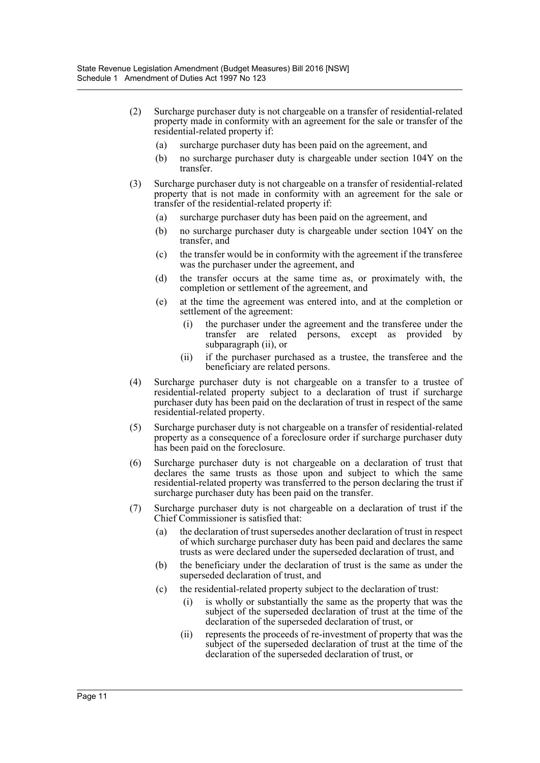- (2) Surcharge purchaser duty is not chargeable on a transfer of residential-related property made in conformity with an agreement for the sale or transfer of the residential-related property if:
	- (a) surcharge purchaser duty has been paid on the agreement, and
	- (b) no surcharge purchaser duty is chargeable under section 104Y on the transfer.
- (3) Surcharge purchaser duty is not chargeable on a transfer of residential-related property that is not made in conformity with an agreement for the sale or transfer of the residential-related property if:
	- (a) surcharge purchaser duty has been paid on the agreement, and
	- (b) no surcharge purchaser duty is chargeable under section 104Y on the transfer, and
	- (c) the transfer would be in conformity with the agreement if the transferee was the purchaser under the agreement, and
	- (d) the transfer occurs at the same time as, or proximately with, the completion or settlement of the agreement, and
	- (e) at the time the agreement was entered into, and at the completion or settlement of the agreement:
		- (i) the purchaser under the agreement and the transferee under the transfer are related persons, except as provided by subparagraph (ii), or
		- (ii) if the purchaser purchased as a trustee, the transferee and the beneficiary are related persons.
- (4) Surcharge purchaser duty is not chargeable on a transfer to a trustee of residential-related property subject to a declaration of trust if surcharge purchaser duty has been paid on the declaration of trust in respect of the same residential-related property.
- (5) Surcharge purchaser duty is not chargeable on a transfer of residential-related property as a consequence of a foreclosure order if surcharge purchaser duty has been paid on the foreclosure.
- (6) Surcharge purchaser duty is not chargeable on a declaration of trust that declares the same trusts as those upon and subject to which the same residential-related property was transferred to the person declaring the trust if surcharge purchaser duty has been paid on the transfer.
- (7) Surcharge purchaser duty is not chargeable on a declaration of trust if the Chief Commissioner is satisfied that:
	- (a) the declaration of trust supersedes another declaration of trust in respect of which surcharge purchaser duty has been paid and declares the same trusts as were declared under the superseded declaration of trust, and
	- (b) the beneficiary under the declaration of trust is the same as under the superseded declaration of trust, and
	- (c) the residential-related property subject to the declaration of trust:
		- (i) is wholly or substantially the same as the property that was the subject of the superseded declaration of trust at the time of the declaration of the superseded declaration of trust, or
		- (ii) represents the proceeds of re-investment of property that was the subject of the superseded declaration of trust at the time of the declaration of the superseded declaration of trust, or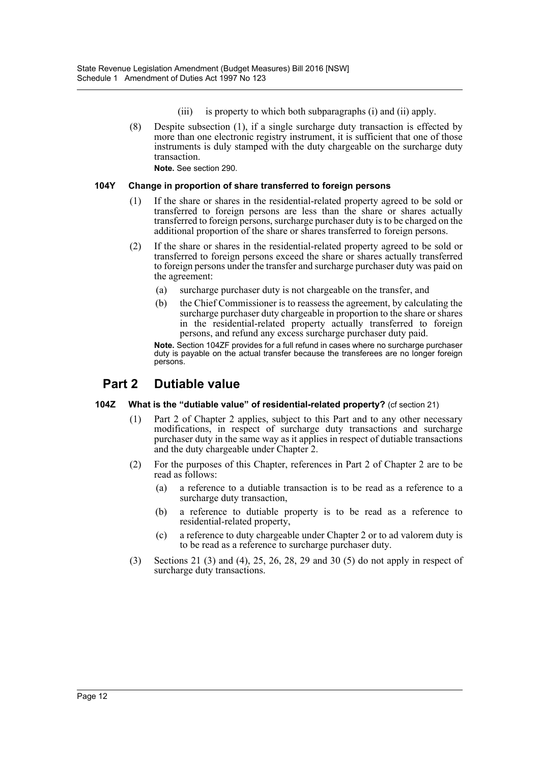- (iii) is property to which both subparagraphs (i) and (ii) apply.
- (8) Despite subsection (1), if a single surcharge duty transaction is effected by more than one electronic registry instrument, it is sufficient that one of those instruments is duly stamped with the duty chargeable on the surcharge duty transaction.

**Note.** See section 290.

#### **104Y Change in proportion of share transferred to foreign persons**

- (1) If the share or shares in the residential-related property agreed to be sold or transferred to foreign persons are less than the share or shares actually transferred to foreign persons, surcharge purchaser duty is to be charged on the additional proportion of the share or shares transferred to foreign persons.
- (2) If the share or shares in the residential-related property agreed to be sold or transferred to foreign persons exceed the share or shares actually transferred to foreign persons under the transfer and surcharge purchaser duty was paid on the agreement:
	- (a) surcharge purchaser duty is not chargeable on the transfer, and
	- (b) the Chief Commissioner is to reassess the agreement, by calculating the surcharge purchaser duty chargeable in proportion to the share or shares in the residential-related property actually transferred to foreign persons, and refund any excess surcharge purchaser duty paid.

Note. Section 104ZF provides for a full refund in cases where no surcharge purchaser duty is payable on the actual transfer because the transferees are no longer foreign persons.

### **Part 2 Dutiable value**

#### **104Z What is the "dutiable value" of residential-related property?** (cf section 21)

- (1) Part 2 of Chapter 2 applies, subject to this Part and to any other necessary modifications, in respect of surcharge duty transactions and surcharge purchaser duty in the same way as it applies in respect of dutiable transactions and the duty chargeable under Chapter 2.
- (2) For the purposes of this Chapter, references in Part 2 of Chapter 2 are to be read as follows:
	- (a) a reference to a dutiable transaction is to be read as a reference to a surcharge duty transaction,
	- (b) a reference to dutiable property is to be read as a reference to residential-related property,
	- (c) a reference to duty chargeable under Chapter 2 or to ad valorem duty is to be read as a reference to surcharge purchaser duty.
- (3) Sections 21 (3) and (4), 25, 26, 28, 29 and 30 (5) do not apply in respect of surcharge duty transactions.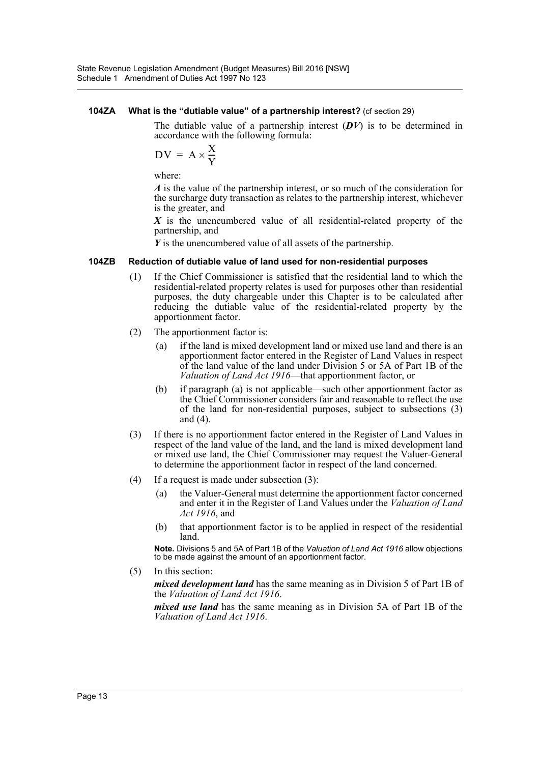#### **104ZA What is the "dutiable value" of a partnership interest?** (cf section 29)

The dutiable value of a partnership interest (*DV*) is to be determined in accordance with the following formula:

$$
DV = A \times \frac{X}{Y}
$$

where:

*A* is the value of the partnership interest, or so much of the consideration for the surcharge duty transaction as relates to the partnership interest, whichever is the greater, and

*X* is the unencumbered value of all residential-related property of the partnership, and

*Y* is the unencumbered value of all assets of the partnership.

#### **104ZB Reduction of dutiable value of land used for non-residential purposes**

- (1) If the Chief Commissioner is satisfied that the residential land to which the residential-related property relates is used for purposes other than residential purposes, the duty chargeable under this Chapter is to be calculated after reducing the dutiable value of the residential-related property by the apportionment factor.
- (2) The apportionment factor is:
	- (a) if the land is mixed development land or mixed use land and there is an apportionment factor entered in the Register of Land Values in respect of the land value of the land under Division 5 or 5A of Part 1B of the *Valuation of Land Act 1916*—that apportionment factor, or
	- (b) if paragraph (a) is not applicable—such other apportionment factor as the Chief Commissioner considers fair and reasonable to reflect the use of the land for non-residential purposes, subject to subsections (3) and (4).
- (3) If there is no apportionment factor entered in the Register of Land Values in respect of the land value of the land, and the land is mixed development land or mixed use land, the Chief Commissioner may request the Valuer-General to determine the apportionment factor in respect of the land concerned.
- (4) If a request is made under subsection (3):
	- (a) the Valuer-General must determine the apportionment factor concerned and enter it in the Register of Land Values under the *Valuation of Land Act 1916*, and
	- (b) that apportionment factor is to be applied in respect of the residential land.

**Note.** Divisions 5 and 5A of Part 1B of the *Valuation of Land Act 1916* allow objections to be made against the amount of an apportionment factor.

(5) In this section:

*mixed development land* has the same meaning as in Division 5 of Part 1B of the *Valuation of Land Act 1916*.

*mixed use land* has the same meaning as in Division 5A of Part 1B of the *Valuation of Land Act 1916*.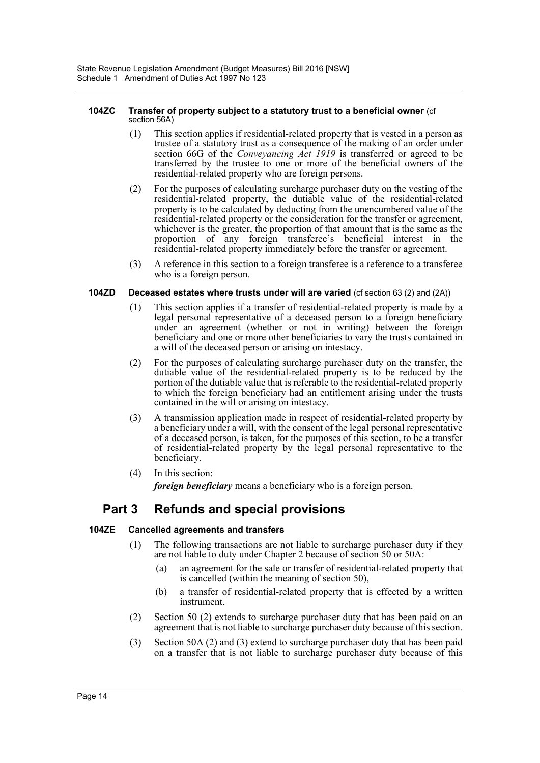#### **104ZC Transfer of property subject to a statutory trust to a beneficial owner** (cf section 56A)

- (1) This section applies if residential-related property that is vested in a person as trustee of a statutory trust as a consequence of the making of an order under section 66G of the *Conveyancing Act 1919* is transferred or agreed to be transferred by the trustee to one or more of the beneficial owners of the residential-related property who are foreign persons.
- (2) For the purposes of calculating surcharge purchaser duty on the vesting of the residential-related property, the dutiable value of the residential-related property is to be calculated by deducting from the unencumbered value of the residential-related property or the consideration for the transfer or agreement, whichever is the greater, the proportion of that amount that is the same as the proportion of any foreign transferee's beneficial interest in the residential-related property immediately before the transfer or agreement.
- (3) A reference in this section to a foreign transferee is a reference to a transferee who is a foreign person.

#### **104ZD Deceased estates where trusts under will are varied** (cf section 63 (2) and (2A))

- (1) This section applies if a transfer of residential-related property is made by a legal personal representative of a deceased person to a foreign beneficiary under an agreement (whether or not in writing) between the foreign beneficiary and one or more other beneficiaries to vary the trusts contained in a will of the deceased person or arising on intestacy.
- (2) For the purposes of calculating surcharge purchaser duty on the transfer, the dutiable value of the residential-related property is to be reduced by the portion of the dutiable value that is referable to the residential-related property to which the foreign beneficiary had an entitlement arising under the trusts contained in the will or arising on intestacy.
- (3) A transmission application made in respect of residential-related property by a beneficiary under a will, with the consent of the legal personal representative of a deceased person, is taken, for the purposes of this section, to be a transfer of residential-related property by the legal personal representative to the beneficiary.
- (4) In this section: *foreign beneficiary* means a beneficiary who is a foreign person.

## **Part 3 Refunds and special provisions**

#### **104ZE Cancelled agreements and transfers**

- (1) The following transactions are not liable to surcharge purchaser duty if they are not liable to duty under Chapter 2 because of section 50 or 50A:
	- (a) an agreement for the sale or transfer of residential-related property that is cancelled (within the meaning of section 50),
	- (b) a transfer of residential-related property that is effected by a written instrument.
- (2) Section 50 (2) extends to surcharge purchaser duty that has been paid on an agreement that is not liable to surcharge purchaser duty because of this section.
- (3) Section 50A (2) and (3) extend to surcharge purchaser duty that has been paid on a transfer that is not liable to surcharge purchaser duty because of this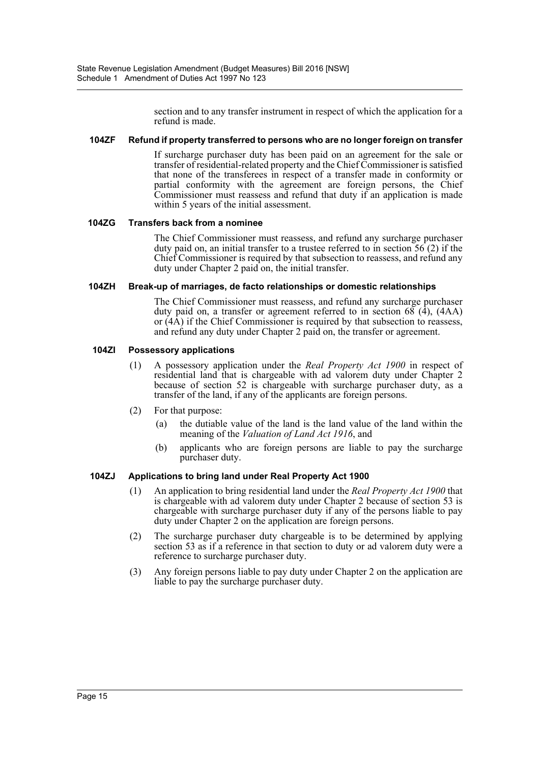section and to any transfer instrument in respect of which the application for a refund is made.

#### **104ZF Refund if property transferred to persons who are no longer foreign on transfer**

If surcharge purchaser duty has been paid on an agreement for the sale or transfer of residential-related property and the Chief Commissioner is satisfied that none of the transferees in respect of a transfer made in conformity or partial conformity with the agreement are foreign persons, the Chief Commissioner must reassess and refund that duty if an application is made within 5 years of the initial assessment.

#### **104ZG Transfers back from a nominee**

The Chief Commissioner must reassess, and refund any surcharge purchaser duty paid on, an initial transfer to a trustee referred to in section 56 (2) if the Chief Commissioner is required by that subsection to reassess, and refund any duty under Chapter 2 paid on, the initial transfer.

#### **104ZH Break-up of marriages, de facto relationships or domestic relationships**

The Chief Commissioner must reassess, and refund any surcharge purchaser duty paid on, a transfer or agreement referred to in section  $68$   $(\overline{4})$ ,  $(4AA)$ or (4A) if the Chief Commissioner is required by that subsection to reassess, and refund any duty under Chapter 2 paid on, the transfer or agreement.

#### **104ZI Possessory applications**

- (1) A possessory application under the *Real Property Act 1900* in respect of residential land that is chargeable with ad valorem duty under Chapter 2 because of section 52 is chargeable with surcharge purchaser duty, as a transfer of the land, if any of the applicants are foreign persons.
- (2) For that purpose:
	- (a) the dutiable value of the land is the land value of the land within the meaning of the *Valuation of Land Act 1916*, and
	- (b) applicants who are foreign persons are liable to pay the surcharge purchaser duty.

#### **104ZJ Applications to bring land under Real Property Act 1900**

- (1) An application to bring residential land under the *Real Property Act 1900* that is chargeable with ad valorem duty under Chapter 2 because of section 53 is chargeable with surcharge purchaser duty if any of the persons liable to pay duty under Chapter 2 on the application are foreign persons.
- (2) The surcharge purchaser duty chargeable is to be determined by applying section 53 as if a reference in that section to duty or ad valorem duty were a reference to surcharge purchaser duty.
- (3) Any foreign persons liable to pay duty under Chapter 2 on the application are liable to pay the surcharge purchaser duty.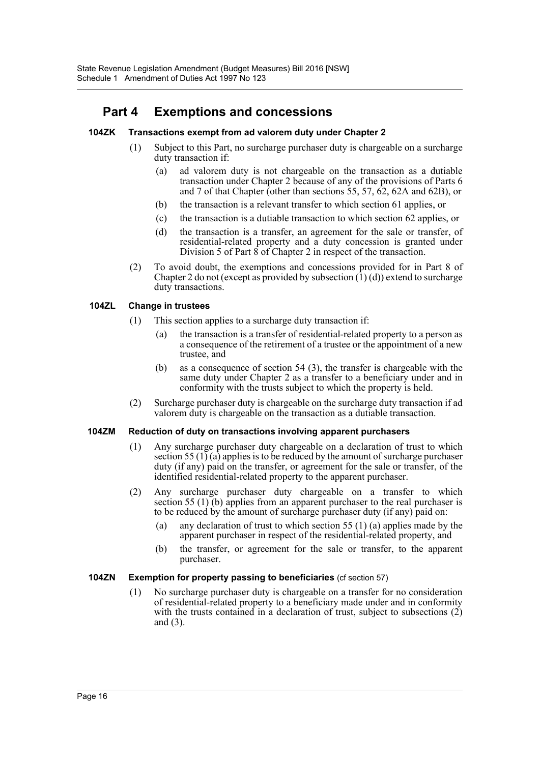# **Part 4 Exemptions and concessions**

#### **104ZK Transactions exempt from ad valorem duty under Chapter 2**

- (1) Subject to this Part, no surcharge purchaser duty is chargeable on a surcharge duty transaction if:
	- (a) ad valorem duty is not chargeable on the transaction as a dutiable transaction under Chapter 2 because of any of the provisions of Parts 6 and 7 of that Chapter (other than sections 55, 57, 62, 62A and 62B), or
	- (b) the transaction is a relevant transfer to which section 61 applies, or
	- (c) the transaction is a dutiable transaction to which section 62 applies, or
	- (d) the transaction is a transfer, an agreement for the sale or transfer, of residential-related property and a duty concession is granted under Division 5 of Part  $\hat{8}$  of Chapter 2 in respect of the transaction.
- (2) To avoid doubt, the exemptions and concessions provided for in Part 8 of Chapter 2 do not (except as provided by subsection  $(1)(d)$ ) extend to surcharge duty transactions.

#### **104ZL Change in trustees**

- (1) This section applies to a surcharge duty transaction if:
	- (a) the transaction is a transfer of residential-related property to a person as a consequence of the retirement of a trustee or the appointment of a new trustee, and
	- (b) as a consequence of section 54 (3), the transfer is chargeable with the same duty under Chapter 2 as a transfer to a beneficiary under and in conformity with the trusts subject to which the property is held.
- (2) Surcharge purchaser duty is chargeable on the surcharge duty transaction if ad valorem duty is chargeable on the transaction as a dutiable transaction.

#### **104ZM Reduction of duty on transactions involving apparent purchasers**

- (1) Any surcharge purchaser duty chargeable on a declaration of trust to which section 55 (1) (a) applies is to be reduced by the amount of surcharge purchaser duty (if any) paid on the transfer, or agreement for the sale or transfer, of the identified residential-related property to the apparent purchaser.
- (2) Any surcharge purchaser duty chargeable on a transfer to which section 55 (1) (b) applies from an apparent purchaser to the real purchaser is to be reduced by the amount of surcharge purchaser duty (if any) paid on:
	- (a) any declaration of trust to which section 55 (1) (a) applies made by the apparent purchaser in respect of the residential-related property, and
	- (b) the transfer, or agreement for the sale or transfer, to the apparent purchaser.

#### **104ZN Exemption for property passing to beneficiaries** (cf section 57)

(1) No surcharge purchaser duty is chargeable on a transfer for no consideration of residential-related property to a beneficiary made under and in conformity with the trusts contained in a declaration of trust, subject to subsections (2) and (3).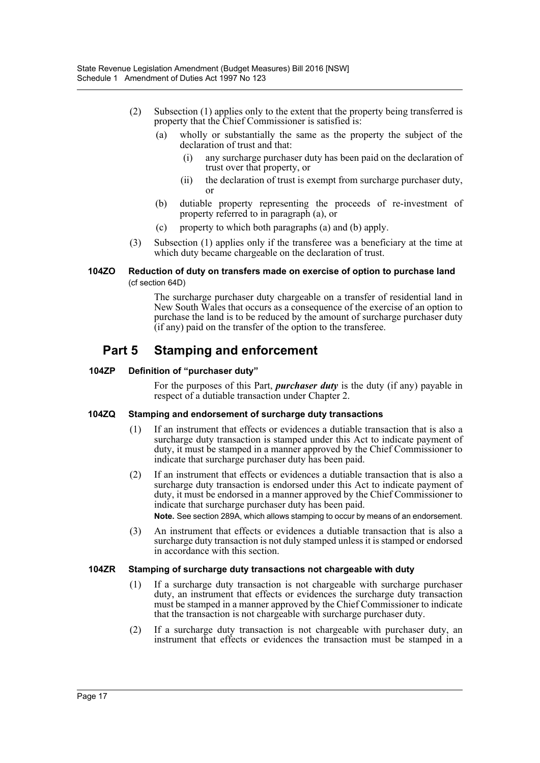- (2) Subsection (1) applies only to the extent that the property being transferred is property that the Chief Commissioner is satisfied is:
	- (a) wholly or substantially the same as the property the subject of the declaration of trust and that:
		- (i) any surcharge purchaser duty has been paid on the declaration of trust over that property, or
		- (ii) the declaration of trust is exempt from surcharge purchaser duty, or
	- (b) dutiable property representing the proceeds of re-investment of property referred to in paragraph (a), or
	- (c) property to which both paragraphs (a) and (b) apply.
- (3) Subsection (1) applies only if the transferee was a beneficiary at the time at which duty became chargeable on the declaration of trust.

#### **104ZO Reduction of duty on transfers made on exercise of option to purchase land**  (cf section 64D)

The surcharge purchaser duty chargeable on a transfer of residential land in New South Wales that occurs as a consequence of the exercise of an option to purchase the land is to be reduced by the amount of surcharge purchaser duty (if any) paid on the transfer of the option to the transferee.

## **Part 5 Stamping and enforcement**

#### **104ZP Definition of "purchaser duty"**

For the purposes of this Part, *purchaser duty* is the duty (if any) payable in respect of a dutiable transaction under Chapter 2.

#### **104ZQ Stamping and endorsement of surcharge duty transactions**

- (1) If an instrument that effects or evidences a dutiable transaction that is also a surcharge duty transaction is stamped under this Act to indicate payment of duty, it must be stamped in a manner approved by the Chief Commissioner to indicate that surcharge purchaser duty has been paid.
- (2) If an instrument that effects or evidences a dutiable transaction that is also a surcharge duty transaction is endorsed under this Act to indicate payment of duty, it must be endorsed in a manner approved by the Chief Commissioner to indicate that surcharge purchaser duty has been paid. **Note.** See section 289A, which allows stamping to occur by means of an endorsement.
- (3) An instrument that effects or evidences a dutiable transaction that is also a surcharge duty transaction is not duly stamped unless it is stamped or endorsed in accordance with this section.

#### **104ZR Stamping of surcharge duty transactions not chargeable with duty**

- (1) If a surcharge duty transaction is not chargeable with surcharge purchaser duty, an instrument that effects or evidences the surcharge duty transaction must be stamped in a manner approved by the Chief Commissioner to indicate that the transaction is not chargeable with surcharge purchaser duty.
- (2) If a surcharge duty transaction is not chargeable with purchaser duty, an instrument that effects or evidences the transaction must be stamped in a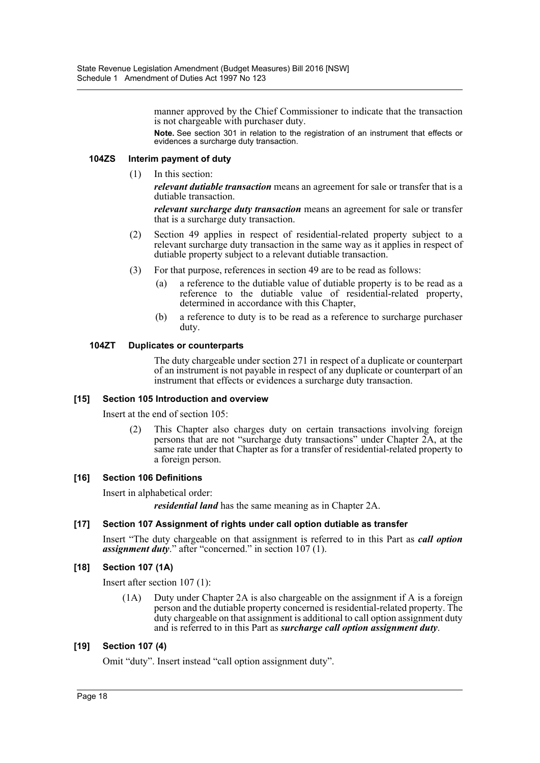manner approved by the Chief Commissioner to indicate that the transaction is not chargeable with purchaser duty.

**Note.** See section 301 in relation to the registration of an instrument that effects or evidences a surcharge duty transaction.

#### **104ZS Interim payment of duty**

(1) In this section:

*relevant dutiable transaction* means an agreement for sale or transfer that is a dutiable transaction.

*relevant surcharge duty transaction* means an agreement for sale or transfer that is a surcharge duty transaction.

- (2) Section 49 applies in respect of residential-related property subject to a relevant surcharge duty transaction in the same way as it applies in respect of dutiable property subject to a relevant dutiable transaction.
- (3) For that purpose, references in section 49 are to be read as follows:
	- (a) a reference to the dutiable value of dutiable property is to be read as a reference to the dutiable value of residential-related property, determined in accordance with this Chapter,
	- (b) a reference to duty is to be read as a reference to surcharge purchaser duty.

#### **104ZT Duplicates or counterparts**

The duty chargeable under section 271 in respect of a duplicate or counterpart of an instrument is not payable in respect of any duplicate or counterpart of an instrument that effects or evidences a surcharge duty transaction.

#### **[15] Section 105 Introduction and overview**

Insert at the end of section 105:

(2) This Chapter also charges duty on certain transactions involving foreign persons that are not "surcharge duty transactions" under Chapter 2A, at the same rate under that Chapter as for a transfer of residential-related property to a foreign person.

#### **[16] Section 106 Definitions**

Insert in alphabetical order:

*residential land* has the same meaning as in Chapter 2A.

#### **[17] Section 107 Assignment of rights under call option dutiable as transfer**

Insert "The duty chargeable on that assignment is referred to in this Part as *call option assignment duty*." after "concerned." in section 107 (1).

#### **[18] Section 107 (1A)**

Insert after section 107 (1):

(1A) Duty under Chapter 2A is also chargeable on the assignment if A is a foreign person and the dutiable property concerned is residential-related property. The duty chargeable on that assignment is additional to call option assignment duty and is referred to in this Part as *surcharge call option assignment duty*.

#### **[19] Section 107 (4)**

Omit "duty". Insert instead "call option assignment duty".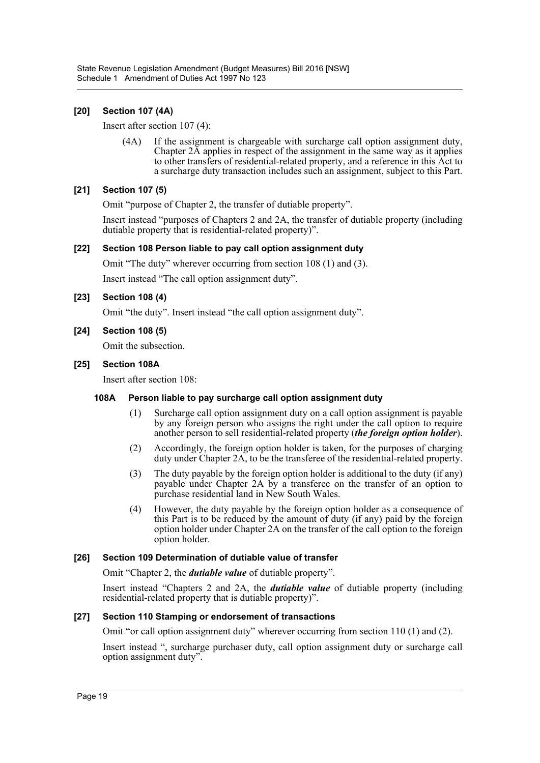### **[20] Section 107 (4A)**

Insert after section 107 (4):

(4A) If the assignment is chargeable with surcharge call option assignment duty, Chapter 2A applies in respect of the assignment in the same way as it applies to other transfers of residential-related property, and a reference in this Act to a surcharge duty transaction includes such an assignment, subject to this Part.

#### **[21] Section 107 (5)**

Omit "purpose of Chapter 2, the transfer of dutiable property".

Insert instead "purposes of Chapters 2 and 2A, the transfer of dutiable property (including dutiable property that is residential-related property)".

#### **[22] Section 108 Person liable to pay call option assignment duty**

Omit "The duty" wherever occurring from section 108 (1) and (3).

Insert instead "The call option assignment duty".

#### **[23] Section 108 (4)**

Omit "the duty". Insert instead "the call option assignment duty".

#### **[24] Section 108 (5)**

Omit the subsection.

#### **[25] Section 108A**

Insert after section 108:

#### **108A Person liable to pay surcharge call option assignment duty**

- (1) Surcharge call option assignment duty on a call option assignment is payable by any foreign person who assigns the right under the call option to require another person to sell residential-related property (*the foreign option holder*).
- (2) Accordingly, the foreign option holder is taken, for the purposes of charging duty under Chapter 2A, to be the transferee of the residential-related property.
- (3) The duty payable by the foreign option holder is additional to the duty (if any) payable under Chapter 2A by a transferee on the transfer of an option to purchase residential land in New South Wales.
- (4) However, the duty payable by the foreign option holder as a consequence of this Part is to be reduced by the amount of duty (if any) paid by the foreign option holder under Chapter 2A on the transfer of the call option to the foreign option holder.

#### **[26] Section 109 Determination of dutiable value of transfer**

Omit "Chapter 2, the *dutiable value* of dutiable property".

Insert instead "Chapters 2 and 2A, the *dutiable value* of dutiable property (including residential-related property that is dutiable property)".

#### **[27] Section 110 Stamping or endorsement of transactions**

Omit "or call option assignment duty" wherever occurring from section 110 (1) and (2).

Insert instead ", surcharge purchaser duty, call option assignment duty or surcharge call option assignment duty".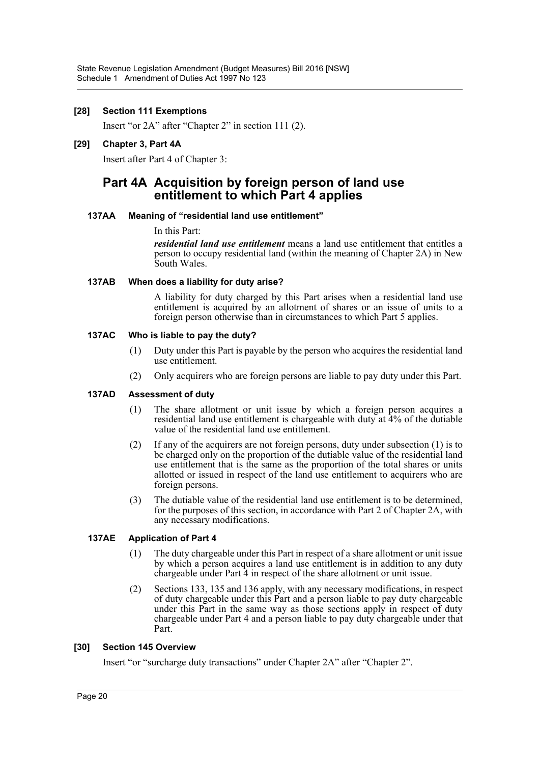#### **[28] Section 111 Exemptions**

Insert "or 2A" after "Chapter 2" in section 111 (2).

#### **[29] Chapter 3, Part 4A**

Insert after Part 4 of Chapter 3:

### **Part 4A Acquisition by foreign person of land use entitlement to which Part 4 applies**

#### **137AA Meaning of "residential land use entitlement"**

#### In this Part:

*residential land use entitlement* means a land use entitlement that entitles a person to occupy residential land (within the meaning of Chapter 2A) in New South Wales.

#### **137AB When does a liability for duty arise?**

A liability for duty charged by this Part arises when a residential land use entitlement is acquired by an allotment of shares or an issue of units to a foreign person otherwise than in circumstances to which Part 5 applies.

#### **137AC Who is liable to pay the duty?**

- (1) Duty under this Part is payable by the person who acquires the residential land use entitlement.
- (2) Only acquirers who are foreign persons are liable to pay duty under this Part.

### **137AD Assessment of duty**

- (1) The share allotment or unit issue by which a foreign person acquires a residential land use entitlement is chargeable with duty at 4% of the dutiable value of the residential land use entitlement.
- (2) If any of the acquirers are not foreign persons, duty under subsection (1) is to be charged only on the proportion of the dutiable value of the residential land use entitlement that is the same as the proportion of the total shares or units allotted or issued in respect of the land use entitlement to acquirers who are foreign persons.
- (3) The dutiable value of the residential land use entitlement is to be determined, for the purposes of this section, in accordance with Part 2 of Chapter 2A, with any necessary modifications.

### **137AE Application of Part 4**

- (1) The duty chargeable under this Part in respect of a share allotment or unit issue by which a person acquires a land use entitlement is in addition to any duty chargeable under Part  $\hat{4}$  in respect of the share allotment or unit issue.
- (2) Sections 133, 135 and 136 apply, with any necessary modifications, in respect of duty chargeable under this Part and a person liable to pay duty chargeable under this Part in the same way as those sections apply in respect of duty chargeable under Part 4 and a person liable to pay duty chargeable under that Part.

#### **[30] Section 145 Overview**

Insert "or "surcharge duty transactions" under Chapter 2A" after "Chapter 2".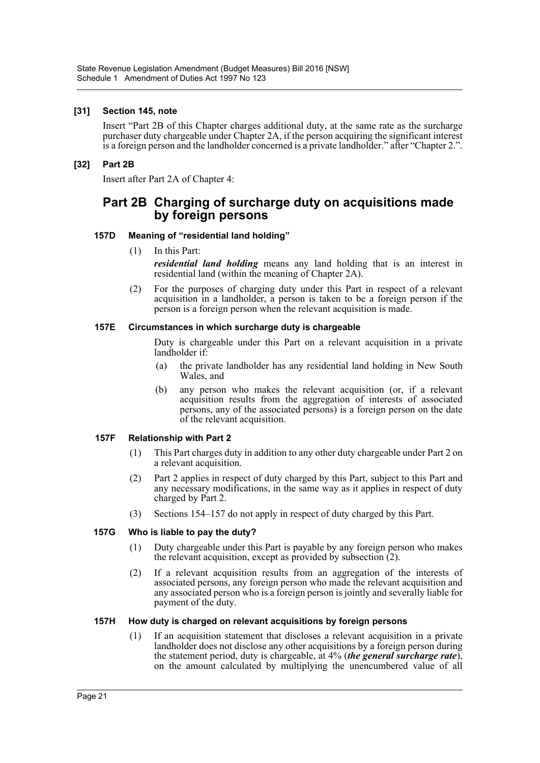#### **[31] Section 145, note**

Insert "Part 2B of this Chapter charges additional duty, at the same rate as the surcharge purchaser duty chargeable under Chapter 2A, if the person acquiring the significant interest is a foreign person and the landholder concerned is a private landholder." after "Chapter 2.".

#### **[32] Part 2B**

Insert after Part 2A of Chapter 4:

### **Part 2B Charging of surcharge duty on acquisitions made by foreign persons**

#### **157D Meaning of "residential land holding"**

- (1) In this Part: *residential land holding* means any land holding that is an interest in residential land (within the meaning of Chapter 2A).
- (2) For the purposes of charging duty under this Part in respect of a relevant acquisition in a landholder, a person is taken to be a foreign person if the person is a foreign person when the relevant acquisition is made.

#### **157E Circumstances in which surcharge duty is chargeable**

Duty is chargeable under this Part on a relevant acquisition in a private landholder if:

- (a) the private landholder has any residential land holding in New South Wales, and
- (b) any person who makes the relevant acquisition (or, if a relevant acquisition results from the aggregation of interests of associated persons, any of the associated persons) is a foreign person on the date of the relevant acquisition.

#### **157F Relationship with Part 2**

- (1) This Part charges duty in addition to any other duty chargeable under Part 2 on a relevant acquisition.
- (2) Part 2 applies in respect of duty charged by this Part, subject to this Part and any necessary modifications, in the same way as it applies in respect of duty charged by Part 2.
- (3) Sections 154–157 do not apply in respect of duty charged by this Part.

#### **157G Who is liable to pay the duty?**

- (1) Duty chargeable under this Part is payable by any foreign person who makes the relevant acquisition, except as provided by subsection  $(2)$ .
- (2) If a relevant acquisition results from an aggregation of the interests of associated persons, any foreign person who made the relevant acquisition and any associated person who is a foreign person is jointly and severally liable for payment of the duty.

#### **157H How duty is charged on relevant acquisitions by foreign persons**

(1) If an acquisition statement that discloses a relevant acquisition in a private landholder does not disclose any other acquisitions by a foreign person during the statement period, duty is chargeable, at 4% (*the general surcharge rate*), on the amount calculated by multiplying the unencumbered value of all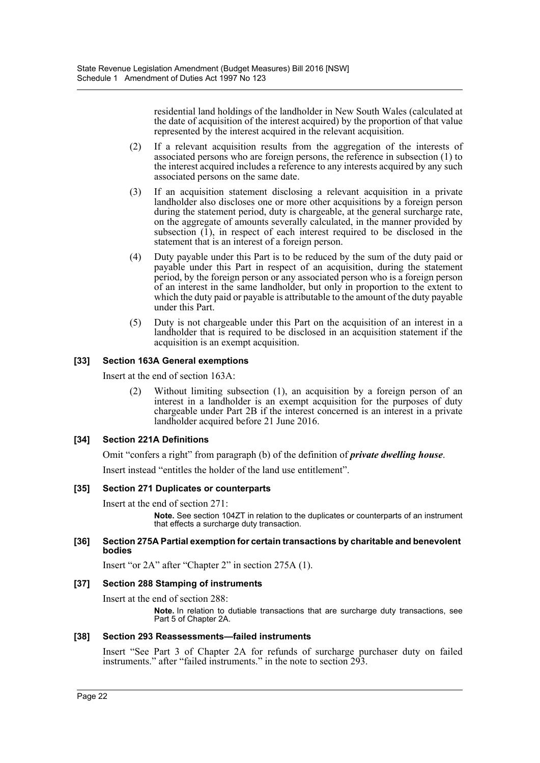residential land holdings of the landholder in New South Wales (calculated at the date of acquisition of the interest acquired) by the proportion of that value represented by the interest acquired in the relevant acquisition.

- (2) If a relevant acquisition results from the aggregation of the interests of associated persons who are foreign persons, the reference in subsection (1) to the interest acquired includes a reference to any interests acquired by any such associated persons on the same date.
- (3) If an acquisition statement disclosing a relevant acquisition in a private landholder also discloses one or more other acquisitions by a foreign person during the statement period, duty is chargeable, at the general surcharge rate, on the aggregate of amounts severally calculated, in the manner provided by subsection  $(1)$ , in respect of each interest required to be disclosed in the statement that is an interest of a foreign person.
- (4) Duty payable under this Part is to be reduced by the sum of the duty paid or payable under this Part in respect of an acquisition, during the statement period, by the foreign person or any associated person who is a foreign person of an interest in the same landholder, but only in proportion to the extent to which the duty paid or payable is attributable to the amount of the duty payable under this Part.
- (5) Duty is not chargeable under this Part on the acquisition of an interest in a landholder that is required to be disclosed in an acquisition statement if the acquisition is an exempt acquisition.

#### **[33] Section 163A General exemptions**

Insert at the end of section 163A:

(2) Without limiting subsection (1), an acquisition by a foreign person of an interest in a landholder is an exempt acquisition for the purposes of duty chargeable under Part 2B if the interest concerned is an interest in a private landholder acquired before 21 June 2016.

### **[34] Section 221A Definitions**

Omit "confers a right" from paragraph (b) of the definition of *private dwelling house*.

Insert instead "entitles the holder of the land use entitlement".

#### **[35] Section 271 Duplicates or counterparts**

Insert at the end of section 271:

**Note.** See section 104ZT in relation to the duplicates or counterparts of an instrument that effects a surcharge duty transaction.

#### **[36] Section 275A Partial exemption for certain transactions by charitable and benevolent bodies**

Insert "or 2A" after "Chapter 2" in section 275A (1).

#### **[37] Section 288 Stamping of instruments**

Insert at the end of section 288:

**Note.** In relation to dutiable transactions that are surcharge duty transactions, see Part 5 of Chapter 2A.

#### **[38] Section 293 Reassessments—failed instruments**

Insert "See Part 3 of Chapter 2A for refunds of surcharge purchaser duty on failed instruments." after "failed instruments." in the note to section 293.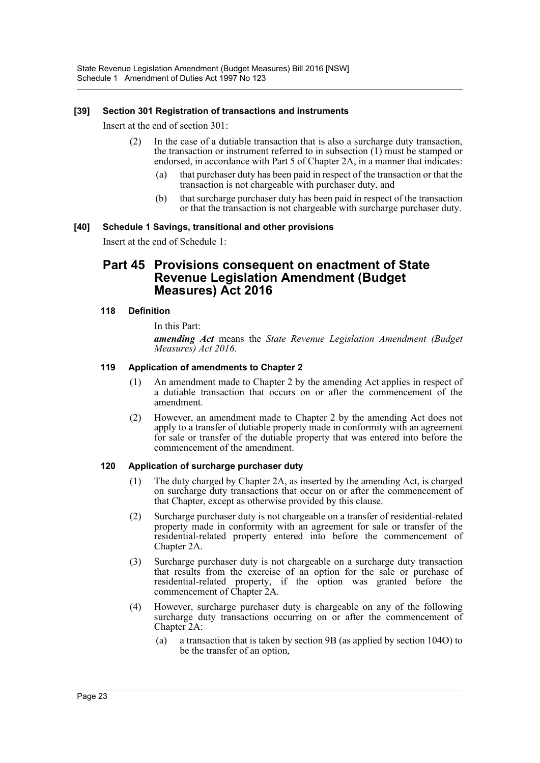#### **[39] Section 301 Registration of transactions and instruments**

Insert at the end of section 301:

- (2) In the case of a dutiable transaction that is also a surcharge duty transaction, the transaction or instrument referred to in subsection (1) must be stamped or endorsed, in accordance with Part 5 of Chapter 2A, in a manner that indicates:
	- (a) that purchaser duty has been paid in respect of the transaction or that the transaction is not chargeable with purchaser duty, and
	- (b) that surcharge purchaser duty has been paid in respect of the transaction or that the transaction is not chargeable with surcharge purchaser duty.

#### **[40] Schedule 1 Savings, transitional and other provisions**

Insert at the end of Schedule 1:

### **Part 45 Provisions consequent on enactment of State Revenue Legislation Amendment (Budget Measures) Act 2016**

#### **118 Definition**

In this Part:

*amending Act* means the *State Revenue Legislation Amendment (Budget Measures) Act 2016*.

#### **119 Application of amendments to Chapter 2**

- (1) An amendment made to Chapter 2 by the amending Act applies in respect of a dutiable transaction that occurs on or after the commencement of the amendment.
- (2) However, an amendment made to Chapter 2 by the amending Act does not apply to a transfer of dutiable property made in conformity with an agreement for sale or transfer of the dutiable property that was entered into before the commencement of the amendment.

#### **120 Application of surcharge purchaser duty**

- (1) The duty charged by Chapter 2A, as inserted by the amending Act, is charged on surcharge duty transactions that occur on or after the commencement of that Chapter, except as otherwise provided by this clause.
- (2) Surcharge purchaser duty is not chargeable on a transfer of residential-related property made in conformity with an agreement for sale or transfer of the residential-related property entered into before the commencement of Chapter 2A.
- (3) Surcharge purchaser duty is not chargeable on a surcharge duty transaction that results from the exercise of an option for the sale or purchase of residential-related property, if the option was granted before the commencement of Chapter 2A.
- (4) However, surcharge purchaser duty is chargeable on any of the following surcharge duty transactions occurring on or after the commencement of Chapter 2A:
	- (a) a transaction that is taken by section 9B (as applied by section 104O) to be the transfer of an option,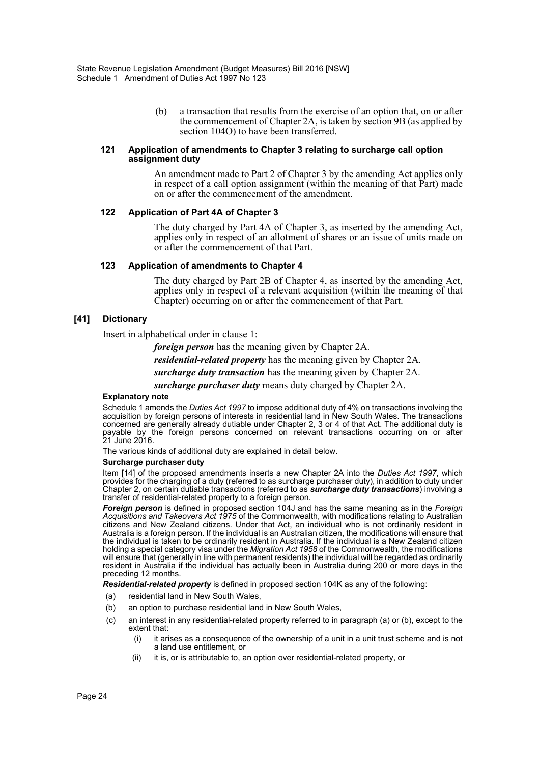(b) a transaction that results from the exercise of an option that, on or after the commencement of Chapter 2A, is taken by section 9B (as applied by section 104O) to have been transferred.

#### **121 Application of amendments to Chapter 3 relating to surcharge call option assignment duty**

An amendment made to Part 2 of Chapter 3 by the amending Act applies only in respect of a call option assignment (within the meaning of that Part) made on or after the commencement of the amendment.

#### **122 Application of Part 4A of Chapter 3**

The duty charged by Part 4A of Chapter 3, as inserted by the amending Act, applies only in respect of an allotment of shares or an issue of units made on or after the commencement of that Part.

#### **123 Application of amendments to Chapter 4**

The duty charged by Part 2B of Chapter 4, as inserted by the amending Act, applies only in respect of a relevant acquisition (within the meaning of that Chapter) occurring on or after the commencement of that Part.

#### **[41] Dictionary**

Insert in alphabetical order in clause 1:

*foreign person* has the meaning given by Chapter 2A.

*residential-related property* has the meaning given by Chapter 2A.

*surcharge duty transaction* has the meaning given by Chapter 2A.

*surcharge purchaser duty* means duty charged by Chapter 2A.

#### **Explanatory note**

Schedule 1 amends the *Duties Act 1997* to impose additional duty of 4% on transactions involving the acquisition by foreign persons of interests in residential land in New South Wales. The transactions concerned are generally already dutiable under Chapter 2, 3 or 4 of that Act. The additional duty is payable by the foreign persons concerned on relevant transactions occurring on or after 21 June 2016.

The various kinds of additional duty are explained in detail below.

#### **Surcharge purchaser duty**

Item [14] of the proposed amendments inserts a new Chapter 2A into the *Duties Act 1997*, which provides for the charging of a duty (referred to as surcharge purchaser duty), in addition to duty under Chapter 2, on certain dutiable transactions (referred to as *surcharge duty transactions*) involving a transfer of residential-related property to a foreign person.

*Foreign person* is defined in proposed section 104J and has the same meaning as in the *Foreign Acquisitions and Takeovers Act 1975* of the Commonwealth, with modifications relating to Australian citizens and New Zealand citizens. Under that Act, an individual who is not ordinarily resident in Australia is a foreign person. If the individual is an Australian citizen, the modifications will ensure that the individual is taken to be ordinarily resident in Australia. If the individual is a New Zealand citizen holding a special category visa under the *Migration Act 1958* of the Commonwealth, the modifications will ensure that (generally in line with permanent residents) the individual will be regarded as ordinarily resident in Australia if the individual has actually been in Australia during 200 or more days in the preceding 12 months.

*Residential-related property* is defined in proposed section 104K as any of the following:

- (a) residential land in New South Wales,
- (b) an option to purchase residential land in New South Wales,
- (c) an interest in any residential-related property referred to in paragraph (a) or (b), except to the extent that:
	- (i) it arises as a consequence of the ownership of a unit in a unit trust scheme and is not a land use entitlement, or
	- (ii) it is, or is attributable to, an option over residential-related property, or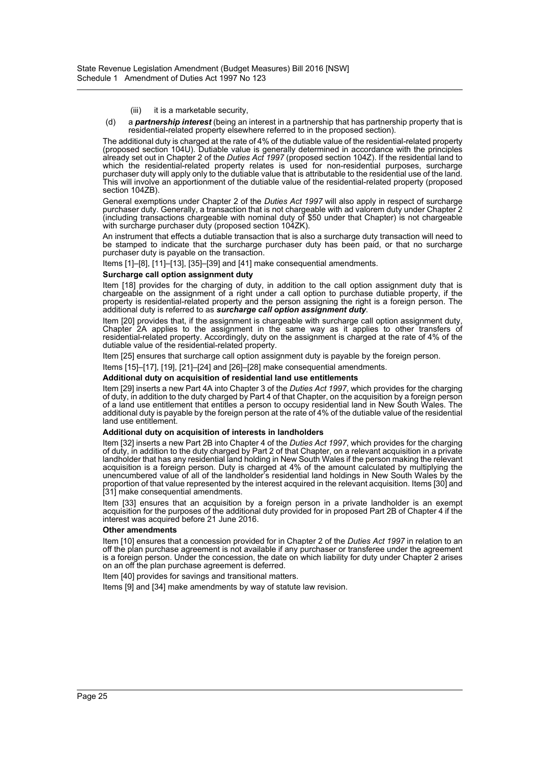#### (iii) it is a marketable security,

(d) a *partnership interest* (being an interest in a partnership that has partnership property that is residential-related property elsewhere referred to in the proposed section).

The additional duty is charged at the rate of 4% of the dutiable value of the residential-related property (proposed section 104U). Dutiable value is generally determined in accordance with the principles already set out in Chapter 2 of the *Duties Act 1997* (proposed section 104Z). If the residential land to which the residential-related property relates is used for non-residential purposes, surcharge purchaser duty will apply only to the dutiable value that is attributable to the residential use of the land. This will involve an apportionment of the dutiable value of the residential-related property (proposed section 104ZB).

General exemptions under Chapter 2 of the *Duties Act 1997* will also apply in respect of surcharge purchaser duty. Generally, a transaction that is not chargeable with ad valorem duty under Chapter 2 (including transactions chargeable with nominal duty of \$50 under that Chapter) is not chargeable with surcharge purchaser duty (proposed section 104ZK).

An instrument that effects a dutiable transaction that is also a surcharge duty transaction will need to be stamped to indicate that the surcharge purchaser duty has been paid, or that no surcharge purchaser duty is payable on the transaction.

Items [1]–[8], [11]–[13], [35]–[39] and [41] make consequential amendments.

#### **Surcharge call option assignment duty**

Item [18] provides for the charging of duty, in addition to the call option assignment duty that is chargeable on the assignment of a right under a call option to purchase dutiable property, if the property is residential-related property and the person assigning the right is a foreign person. The additional duty is referred to as *surcharge call option assignment duty*.

Item [20] provides that, if the assignment is chargeable with surcharge call option assignment duty, Chapter 2A applies to the assignment in the same way as it applies to other transfers of residential-related property. Accordingly, duty on the assignment is charged at the rate of 4% of the dutiable value of the residential-related property.

Item [25] ensures that surcharge call option assignment duty is payable by the foreign person.

Items [15]–[17], [19], [21]–[24] and [26]–[28] make consequential amendments.

#### **Additional duty on acquisition of residential land use entitlements**

Item [29] inserts a new Part 4A into Chapter 3 of the *Duties Act 1997*, which provides for the charging of duty, in addition to the duty charged by Part 4 of that Chapter, on the acquisition by a foreign person of a land use entitlement that entitles a person to occupy residential land in New South Wales. The additional duty is payable by the foreign person at the rate of 4% of the dutiable value of the residential land use entitlement.

#### **Additional duty on acquisition of interests in landholders**

Item [32] inserts a new Part 2B into Chapter 4 of the *Duties Act 1997*, which provides for the charging of duty, in addition to the duty charged by Part 2 of that Chapter, on a relevant acquisition in a private landholder that has any residential land holding in New South Wales if the person making the relevant acquisition is a foreign person. Duty is charged at 4% of the amount calculated by multiplying the unencumbered value of all of the landholder's residential land holdings in New South Wales by the proportion of that value represented by the interest acquired in the relevant acquisition. Items [30] and [31] make consequential amendments.

Item [33] ensures that an acquisition by a foreign person in a private landholder is an exempt acquisition for the purposes of the additional duty provided for in proposed Part 2B of Chapter 4 if the interest was acquired before 21 June 2016.

#### **Other amendments**

Item [10] ensures that a concession provided for in Chapter 2 of the *Duties Act 1997* in relation to an off the plan purchase agreement is not available if any purchaser or transferee under the agreement is a foreign person. Under the concession, the date on which liability for duty under Chapter 2 arises on an off the plan purchase agreement is deferred.

Item [40] provides for savings and transitional matters.

Items [9] and [34] make amendments by way of statute law revision.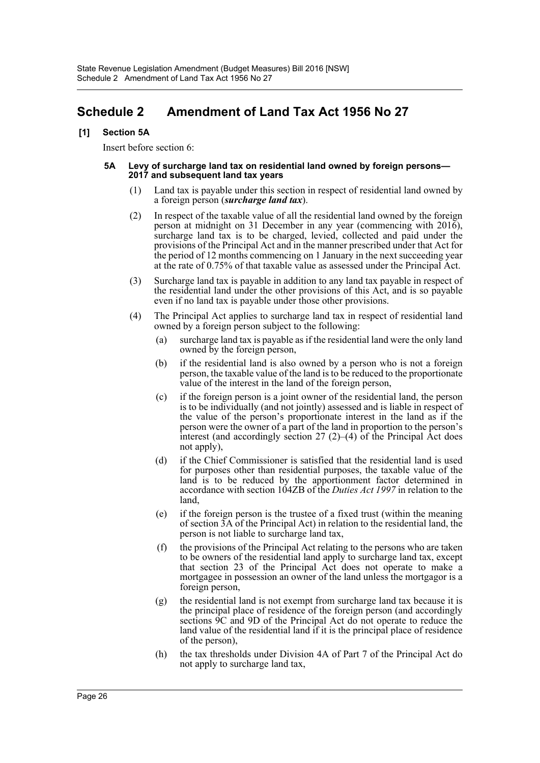# <span id="page-26-0"></span>**Schedule 2 Amendment of Land Tax Act 1956 No 27**

#### **[1] Section 5A**

Insert before section 6:

#### **5A Levy of surcharge land tax on residential land owned by foreign persons— 2017 and subsequent land tax years**

- Land tax is payable under this section in respect of residential land owned by a foreign person (*surcharge land tax*).
- (2) In respect of the taxable value of all the residential land owned by the foreign person at midnight on 31 December in any year (commencing with 2016), surcharge land tax is to be charged, levied, collected and paid under the provisions of the Principal Act and in the manner prescribed under that Act for the period of 12 months commencing on 1 January in the next succeeding year at the rate of 0.75% of that taxable value as assessed under the Principal Act.
- (3) Surcharge land tax is payable in addition to any land tax payable in respect of the residential land under the other provisions of this Act, and is so payable even if no land tax is payable under those other provisions.
- (4) The Principal Act applies to surcharge land tax in respect of residential land owned by a foreign person subject to the following:
	- (a) surcharge land tax is payable as if the residential land were the only land owned by the foreign person,
	- (b) if the residential land is also owned by a person who is not a foreign person, the taxable value of the land is to be reduced to the proportionate value of the interest in the land of the foreign person,
	- (c) if the foreign person is a joint owner of the residential land, the person is to be individually (and not jointly) assessed and is liable in respect of the value of the person's proportionate interest in the land as if the person were the owner of a part of the land in proportion to the person's interest (and accordingly section  $27 (2)$ –(4) of the Principal Act does not apply),
	- (d) if the Chief Commissioner is satisfied that the residential land is used for purposes other than residential purposes, the taxable value of the land is to be reduced by the apportionment factor determined in accordance with section 104ZB of the *Duties Act 1997* in relation to the land,
	- (e) if the foreign person is the trustee of a fixed trust (within the meaning of section 3A of the Principal Act) in relation to the residential land, the person is not liable to surcharge land tax,
	- (f) the provisions of the Principal Act relating to the persons who are taken to be owners of the residential land apply to surcharge land tax, except that section 23 of the Principal Act does not operate to make a mortgagee in possession an owner of the land unless the mortgagor is a foreign person,
	- (g) the residential land is not exempt from surcharge land tax because it is the principal place of residence of the foreign person (and accordingly sections 9C and 9D of the Principal Act do not operate to reduce the land value of the residential land if it is the principal place of residence of the person),
	- (h) the tax thresholds under Division 4A of Part 7 of the Principal Act do not apply to surcharge land tax,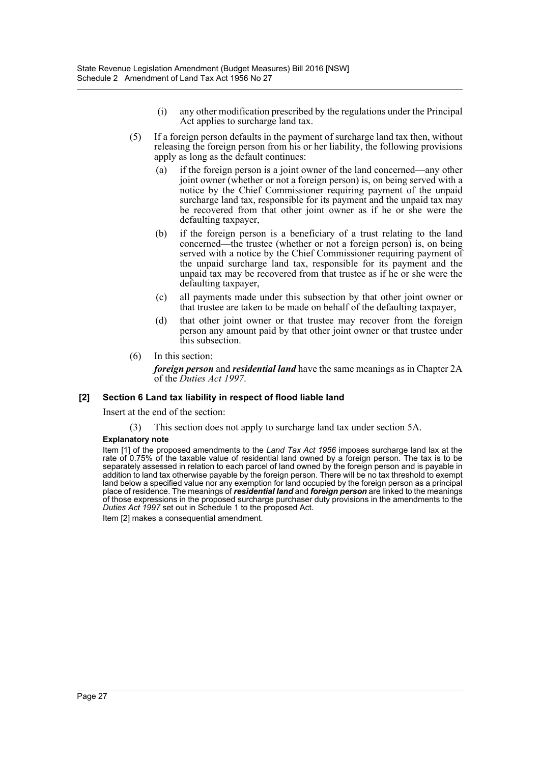- (i) any other modification prescribed by the regulations under the Principal Act applies to surcharge land tax.
- (5) If a foreign person defaults in the payment of surcharge land tax then, without releasing the foreign person from his or her liability, the following provisions apply as long as the default continues:
	- (a) if the foreign person is a joint owner of the land concerned—any other joint owner (whether or not a foreign person) is, on being served with a notice by the Chief Commissioner requiring payment of the unpaid surcharge land tax, responsible for its payment and the unpaid tax may be recovered from that other joint owner as if he or she were the defaulting taxpayer,
	- (b) if the foreign person is a beneficiary of a trust relating to the land concerned—the trustee (whether or not a foreign person) is, on being served with a notice by the Chief Commissioner requiring payment of the unpaid surcharge land tax, responsible for its payment and the unpaid tax may be recovered from that trustee as if he or she were the defaulting taxpayer,
	- (c) all payments made under this subsection by that other joint owner or that trustee are taken to be made on behalf of the defaulting taxpayer,
	- (d) that other joint owner or that trustee may recover from the foreign person any amount paid by that other joint owner or that trustee under this subsection.
- (6) In this section:

*foreign person* and *residential land* have the same meanings as in Chapter 2A of the *Duties Act 1997*.

#### **[2] Section 6 Land tax liability in respect of flood liable land**

Insert at the end of the section:

(3) This section does not apply to surcharge land tax under section 5A.

#### **Explanatory note**

Item [1] of the proposed amendments to the *Land Tax Act 1956* imposes surcharge land lax at the rate of 0.75% of the taxable value of residential land owned by a foreign person. The tax is to be separately assessed in relation to each parcel of land owned by the foreign person and is payable in addition to land tax otherwise payable by the foreign person. There will be no tax threshold to exempt land below a specified value nor any exemption for land occupied by the foreign person as a principal place of residence. The meanings of *residential land* and *foreign person* are linked to the meanings of those expressions in the proposed surcharge purchaser duty provisions in the amendments to the *Duties Act 1997* set out in Schedule 1 to the proposed Act.

Item [2] makes a consequential amendment.